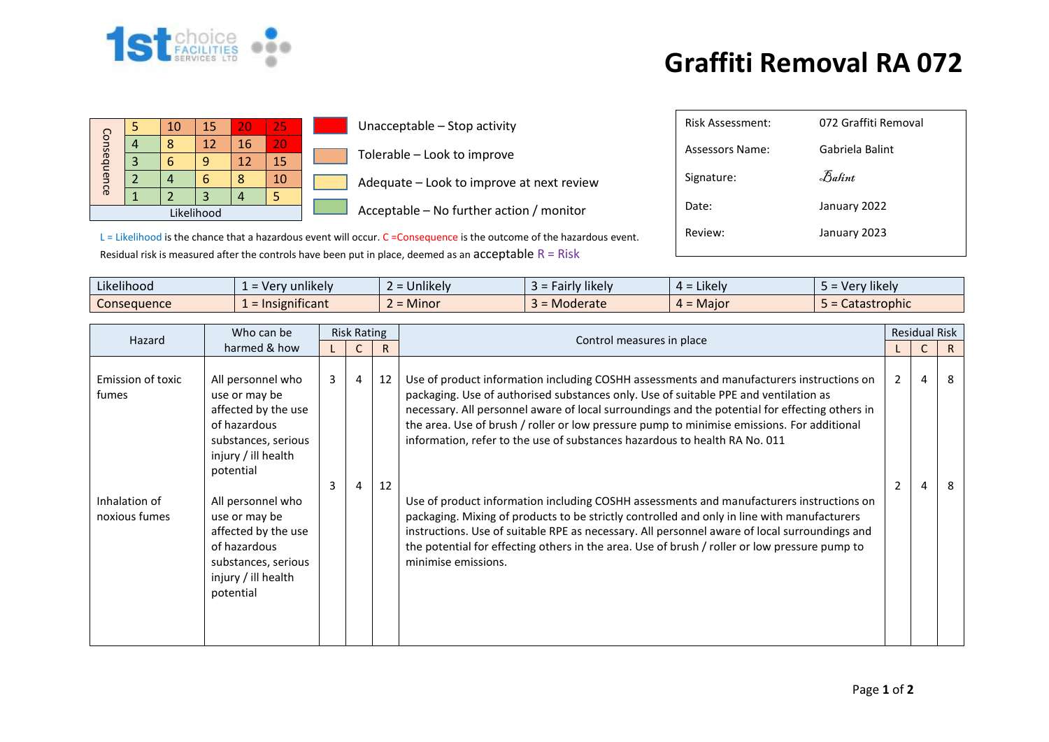

## **Graffiti Removal RA 072**

| Consequence | 10 | 15 | 20 | 25 |  |  |  |
|-------------|----|----|----|----|--|--|--|
|             |    | 12 | 16 | 20 |  |  |  |
|             |    |    |    | 15 |  |  |  |
|             |    |    | 8  | 10 |  |  |  |
|             |    |    |    |    |  |  |  |
|             |    |    |    |    |  |  |  |

Unacceptable – Stop activity Tolerable – Look to improve

Adequate – Look to improve at next review

Acceptable – No further action / monitor

| <b>Risk Assessment:</b> | 072 Graffiti Removal |
|-------------------------|----------------------|
| Assessors Name:         | Gabriela Balint      |
| Signature:              | Balint               |
| Date:                   | January 2022         |
| Review:                 | January 2023         |
|                         |                      |

 $L =$  Likelihood is the chance that a hazardous event will occur.  $C =$ Consequence is the outcome of the hazardous event. Residual risk is measured after the controls have been put in place, deemed as an acceptable  $R = R$ isk

| Likelihood<br>$\cdots$ | 'v unlikelv<br>- Ver            | $\cdots$<br>$\sim$<br><b>Jnlikely</b> | Fairly likely<br>- כ | $\cdot$ $\cdot$ $\cdot$<br>$4 =$ Likely | Very likely  |
|------------------------|---------------------------------|---------------------------------------|----------------------|-----------------------------------------|--------------|
| Consequence            | .<br>$\epsilon$ = Insignificant | A<br>$\sim$<br><b>Minor</b>           | Moderate             | $4 =$ Major                             | Catastrophic |

| Hazard                         | Who can be                                 | <b>Risk Rating</b> |   |    |                                                                                                                                                                                         |                | <b>Residual Risk</b> |    |
|--------------------------------|--------------------------------------------|--------------------|---|----|-----------------------------------------------------------------------------------------------------------------------------------------------------------------------------------------|----------------|----------------------|----|
|                                | harmed & how                               |                    |   |    | Control measures in place                                                                                                                                                               |                |                      | R  |
| Emission of toxic              | All personnel who                          | 3 <sup>7</sup>     | 4 | 12 | Use of product information including COSHH assessments and manufacturers instructions on                                                                                                | 2              | 4                    | -8 |
| fumes                          | use or may be                              |                    |   |    | packaging. Use of authorised substances only. Use of suitable PPE and ventilation as                                                                                                    |                |                      |    |
|                                | affected by the use                        |                    |   |    | necessary. All personnel aware of local surroundings and the potential for effecting others in                                                                                          |                |                      |    |
|                                | of hazardous                               |                    |   |    | the area. Use of brush / roller or low pressure pump to minimise emissions. For additional                                                                                              |                |                      |    |
|                                | substances, serious<br>injury / ill health |                    |   |    | information, refer to the use of substances hazardous to health RA No. 011                                                                                                              |                |                      |    |
|                                | potential                                  |                    |   |    |                                                                                                                                                                                         |                |                      |    |
|                                |                                            | 3                  | 4 | 12 |                                                                                                                                                                                         | $\overline{2}$ | 4                    | 8  |
| Inhalation of<br>noxious fumes | All personnel who                          |                    |   |    | Use of product information including COSHH assessments and manufacturers instructions on<br>packaging. Mixing of products to be strictly controlled and only in line with manufacturers |                |                      |    |
|                                | use or may be<br>affected by the use       |                    |   |    | instructions. Use of suitable RPE as necessary. All personnel aware of local surroundings and                                                                                           |                |                      |    |
|                                | of hazardous                               |                    |   |    | the potential for effecting others in the area. Use of brush / roller or low pressure pump to                                                                                           |                |                      |    |
|                                | substances, serious                        |                    |   |    | minimise emissions.                                                                                                                                                                     |                |                      |    |
|                                | injury / ill health<br>potential           |                    |   |    |                                                                                                                                                                                         |                |                      |    |
|                                |                                            |                    |   |    |                                                                                                                                                                                         |                |                      |    |
|                                |                                            |                    |   |    |                                                                                                                                                                                         |                |                      |    |
|                                |                                            |                    |   |    |                                                                                                                                                                                         |                |                      |    |